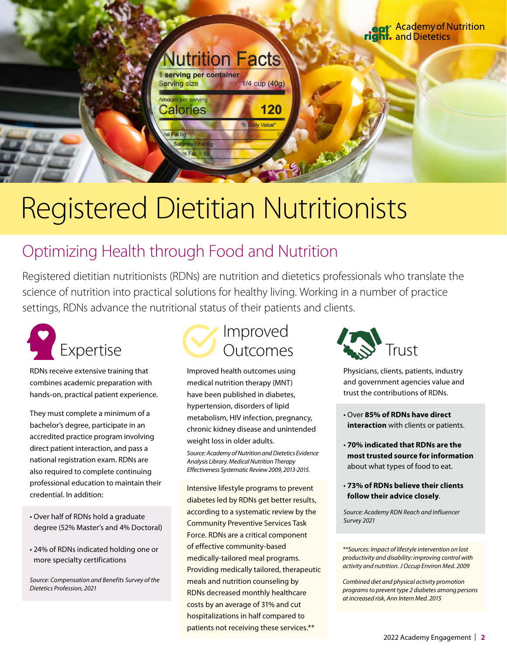## Registered Dietitian Nutritionists

**Nutrition Facts** 

1/4 cup (40g)

% Daily Value'

120

serving per container

**Serving size** Amount per serving

Calories

al Fat 0g **Saturated Fat** 

### Optimizing Health through Food and Nutrition

Registered dietitian nutritionists (RDNs) are nutrition and dietetics professionals who translate the science of nutrition into practical solutions for healthy living. Working in a number of practice settings, RDNs advance the nutritional status of their patients and clients.



RDNs receive extensive training that combines academic preparation with hands-on, practical patient experience.

They must complete a minimum of a bachelor's degree, participate in an accredited practice program involving direct patient interaction, and pass a national registration exam. RDNs are also required to complete continuing professional education to maintain their credential. In addition:

- Over half of RDNs hold a graduate degree (52% Master's and 4% Doctoral)
- 24% of RDNs indicated holding one or more specialty certifications

*Source: Compensation and Benefits Survey of the Dietetics Profession, 2021* 



Improved health outcomes using medical nutrition therapy (MNT) have been published in diabetes, hypertension, disorders of lipid metabolism, HIV infection, pregnancy, chronic kidney disease and unintended weight loss in older adults.

*Source: Academy of Nutrition and Dietetics Evidence Analysis Library. Medical Nutrition Therapy Effectiveness Systematic Review 2009, 2013-2015.*

Intensive lifestyle programs to prevent diabetes led by RDNs get better results, according to a systematic review by the Community Preventive Services Task Force. RDNs are a critical component of effective community-based medically-tailored meal programs. Providing medically tailored, therapeutic meals and nutrition counseling by RDNs decreased monthly healthcare costs by an average of 31% and cut hospitalizations in half compared to patients not receiving these services.\*\*



Physicians, clients, patients, industry and government agencies value and trust the contributions of RDNs.

- Over **85% of RDNs have direct interaction** with clients or patients.
- **70% indicated that RDNs are the most trusted source for information** about what types of food to eat.
- **73% of RDNs believe their clients follow their advice closely**.

*Source: Academy RDN Reach and Influencer Survey 2021* 

*\*\*Sources: Impact of lifestyle intervention on lost productivity and disability: improving control with activity and nutrition. J Occup Environ Med. 2009*

*Combined diet and physical activity promotion programs to prevent type 2 diabetes among persons at increased risk, Ann Intern Med. 2015*